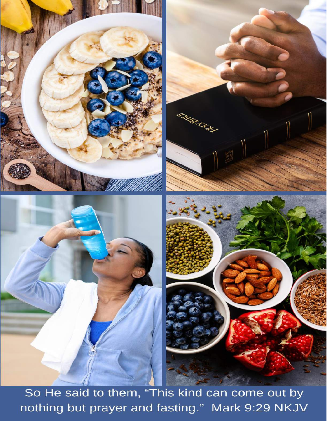

So He said to them, "This kind can come out by nothing but prayer and fasting." Mark 9:29 NKJV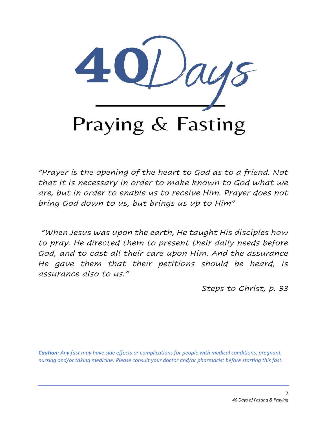

*"Prayer is the opening of the heart to God as to a friend. Not that it is necessary in order to make known to God what we are, but in order to enable us to receive Him. Prayer does not bring God down to us, but brings us up to Him"* 

*"When Jesus was upon the earth, He taught His disciples how to pray. He directed them to present their daily needs before God, and to cast all their care upon Him. And the assurance He gave them that their petitions should be heard, is assurance also to us."*

*Steps to Christ, p. 93*

*Caution: Any fast may have side effects or complications for people with medical conditions, pregnant, nursing and/or taking medicine. Please consult your doctor and/or pharmacist before starting this fast.*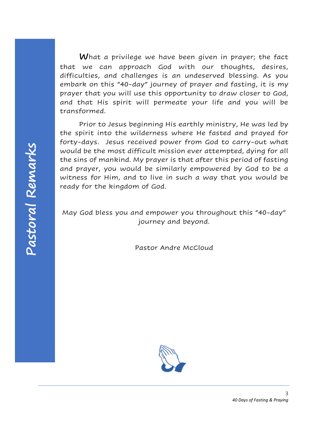What a privilege we have been given in prayer; the fact that we can approach God with our thoughts, desires, difficulties, and challenges is an undeserved blessing. As you embark on this "40-day" journey of prayer and fasting, it is my prayer that you will use this opportunity to draw closer to God, and that His spirit will permeate your life and you will be transformed.

Prior to Jesus beginning His earthly ministry, He was led by the spirit into the wilderness where He fasted and prayed for forty-days. Jesus received power from God to carry-out what would be the most difficult mission ever attempted, dying for all the sins of mankind. My prayer is that after this period of fasting and prayer, you would be similarly empowered by God to be a witness for Him, and to live in such a way that you would be ready for the kingdom of God.

May God bless you and empower you throughout this "40-day" journey and beyond.

Pastor Andre McCloud

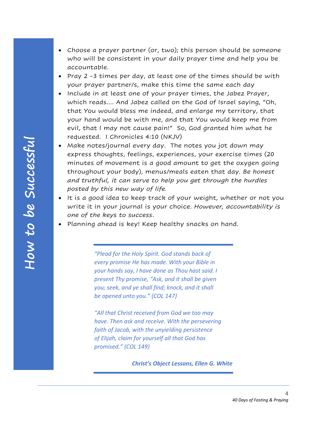- Choose a prayer partner (or, two); this person should be someone who will be consistent in your daily prayer time and help you be accountable.
- Pray 2 -3 times per day, at least one of the times should be with your prayer partner/s, make this time the same each day
- Include in at least one of your prayer times, the Jabez Prayer, which reads…. And Jabez called on the God of Israel saying, "Oh, that You would bless me indeed, and enlarge my territory, that your hand would be with me, and that You would keep me from evil, that I may not cause pain!" So, God granted him what he requested. I Chronicles 4:10 (NKJV)
- Make notes/journal every day. The notes you jot down may express thoughts, feelings, experiences, your exercise times (20 minutes of movement is a good amount to get the oxygen going throughout your body), menus/meals eaten that day. *Be honest and truthful, it can serve to help you get through the hurdles posted by this new way of life.*
- It is a good idea to keep track of your weight, whether or not you write it in your journal is your choice. *However, accountability is one of the keys to success*.
- Planning ahead is key! Keep healthy snacks on hand.

*"Plead for the Holy Spirit. God stands back of every promise He has made. With your Bible in your hands say, I have done as Thou hast said. I present Thy promise, "Ask, and it shall be given you; seek, and ye shall find; knock, and it shall be opened unto you." {COL 147}*

*"All that Christ received from God we too may have. Then ask and receive. With the persevering faith of Jacob, with the unyielding persistence of Elijah, claim for yourself all that God has promised." {COL 149}*

*Christ's Object Lessons, Ellen G. White*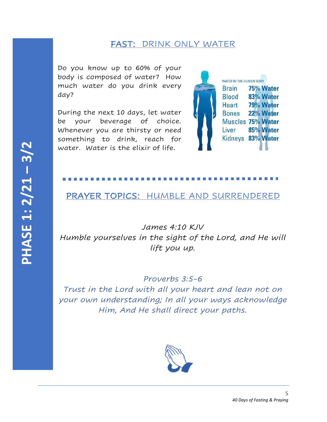## FAST: DRINK ONLY WATER

Do you know up to 60% of your body is composed of water? How much water do you drink every day?

During the next 10 days, let water be your beverage of choice. Whenever you are thirsty or need something to drink, reach for water. Water is the elixir of life.



### PRAYER TOPICS: HUMBLE AND SURRENDERED

*James 4:10 KJV Humble yourselves in the sight of the Lord, and He will lift you up.* 

*Proverbs 3:5-6 Trust in the Lord with all your heart and lean not on your own understanding; In all your ways acknowledge Him, And He shall direct your paths.*

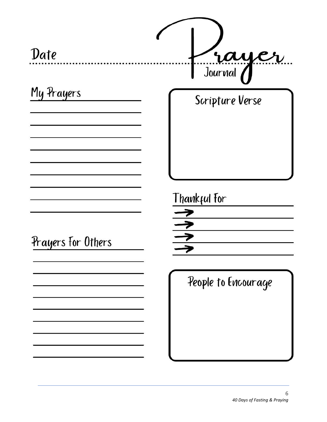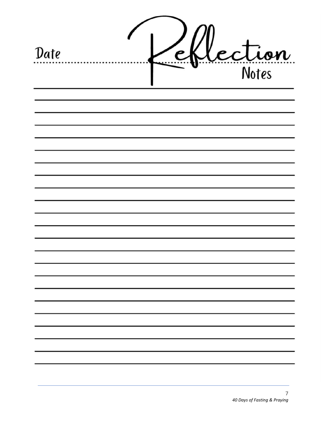| Date |  | lection |
|------|--|---------|
|      |  |         |
|      |  |         |
|      |  |         |
|      |  |         |
|      |  |         |
|      |  |         |
|      |  |         |
|      |  |         |
|      |  |         |
|      |  |         |
|      |  |         |
|      |  |         |
|      |  |         |
|      |  |         |
|      |  |         |
|      |  |         |
|      |  |         |
|      |  |         |
|      |  |         |
|      |  |         |
|      |  |         |
|      |  |         |
|      |  |         |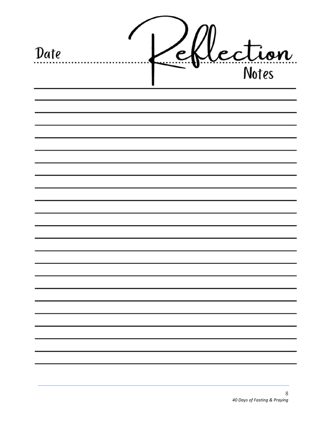| Date |  | lection |
|------|--|---------|
|      |  |         |
|      |  |         |
|      |  |         |
|      |  |         |
|      |  |         |
|      |  |         |
|      |  |         |
|      |  |         |
|      |  |         |
|      |  |         |
|      |  |         |
|      |  |         |
|      |  |         |
|      |  |         |
|      |  |         |
|      |  |         |
|      |  |         |
|      |  |         |
|      |  |         |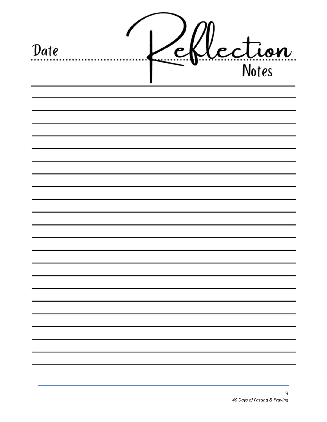| Date | Lection |
|------|---------|
|      |         |
|      |         |
|      |         |
|      |         |
|      |         |
|      |         |
|      |         |
|      |         |
|      |         |
|      |         |
|      |         |
|      |         |
|      |         |
|      |         |
|      |         |
|      |         |
|      |         |
|      |         |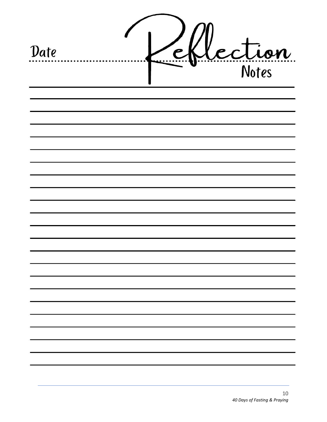| Date |  | lection |
|------|--|---------|
|      |  |         |
|      |  |         |
|      |  |         |
|      |  |         |
|      |  |         |
|      |  |         |
|      |  |         |
|      |  |         |
|      |  |         |
|      |  |         |
|      |  |         |
|      |  |         |
|      |  |         |
|      |  |         |
|      |  |         |
|      |  |         |
|      |  |         |
|      |  |         |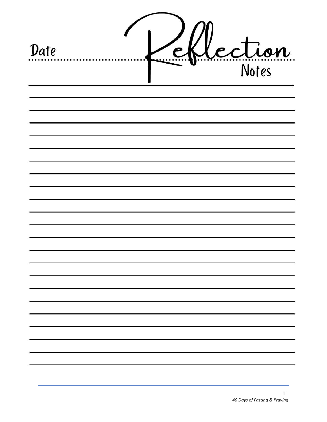| Date |  | lection |
|------|--|---------|
|      |  |         |
|      |  |         |
|      |  |         |
|      |  |         |
|      |  |         |
|      |  |         |
|      |  |         |
|      |  |         |
|      |  |         |
|      |  |         |
|      |  |         |
|      |  |         |
|      |  |         |
|      |  |         |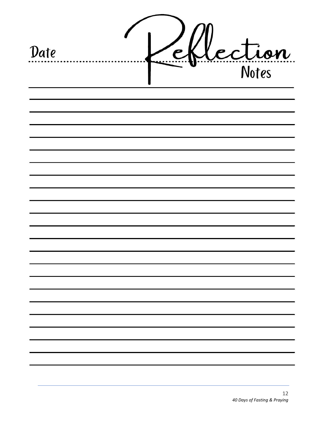| Date | lection |
|------|---------|
|      |         |
|      |         |
|      |         |
|      |         |
|      |         |
|      |         |
|      |         |
|      |         |
|      |         |
|      |         |
|      |         |
|      |         |
|      |         |
|      |         |
|      |         |
|      |         |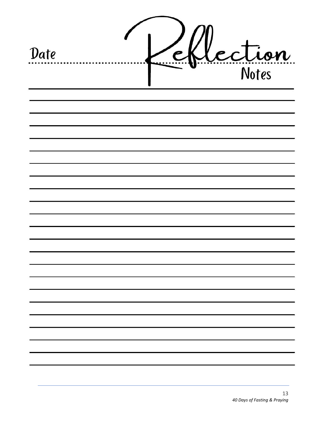| Date |  | lection |
|------|--|---------|
|      |  |         |
|      |  |         |
|      |  |         |
|      |  |         |
|      |  |         |
|      |  |         |
|      |  |         |
|      |  |         |
|      |  |         |
|      |  |         |
|      |  |         |
|      |  |         |
|      |  |         |
|      |  |         |
|      |  |         |
|      |  |         |
|      |  |         |
|      |  |         |
|      |  |         |
|      |  |         |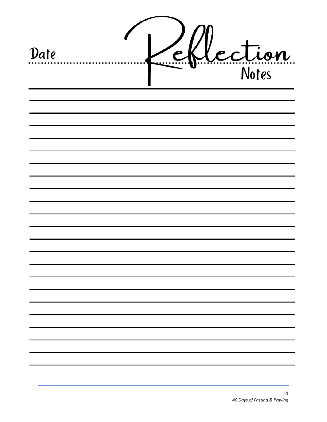| Date |  | lection |  |
|------|--|---------|--|
|      |  |         |  |
|      |  |         |  |
|      |  |         |  |
|      |  |         |  |
|      |  |         |  |
|      |  |         |  |
|      |  |         |  |
|      |  |         |  |
|      |  |         |  |
|      |  |         |  |
|      |  |         |  |
|      |  |         |  |
|      |  |         |  |
|      |  |         |  |
|      |  |         |  |
|      |  |         |  |
|      |  |         |  |
|      |  |         |  |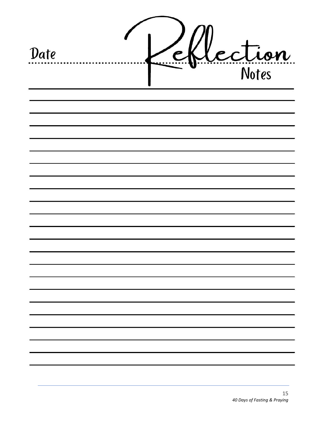| Date |  | lection |
|------|--|---------|
|      |  |         |
|      |  |         |
|      |  |         |
|      |  |         |
|      |  |         |
|      |  |         |
|      |  |         |
|      |  |         |
|      |  |         |
|      |  |         |
|      |  |         |
|      |  |         |
|      |  |         |
|      |  |         |
|      |  |         |
|      |  |         |
|      |  |         |
|      |  |         |
|      |  |         |
|      |  |         |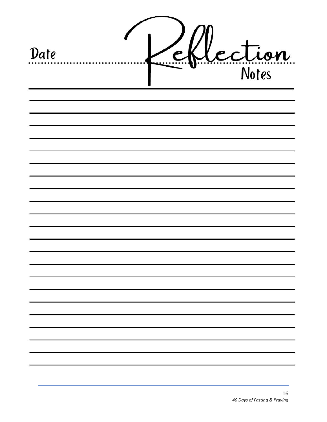| Date |  | lection |  |
|------|--|---------|--|
|      |  |         |  |
|      |  |         |  |
|      |  |         |  |
|      |  |         |  |
|      |  |         |  |
|      |  |         |  |
|      |  |         |  |
|      |  |         |  |
|      |  |         |  |
|      |  |         |  |
|      |  |         |  |
|      |  |         |  |
|      |  |         |  |
|      |  |         |  |
|      |  |         |  |
|      |  |         |  |
|      |  |         |  |
|      |  |         |  |
|      |  |         |  |
|      |  |         |  |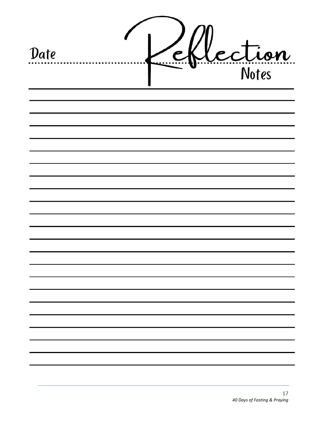| Date |  | lection |  |
|------|--|---------|--|
|      |  |         |  |
|      |  |         |  |
|      |  |         |  |
|      |  |         |  |
|      |  |         |  |
|      |  |         |  |
|      |  |         |  |
|      |  |         |  |
|      |  |         |  |
|      |  |         |  |
|      |  |         |  |
|      |  |         |  |
|      |  |         |  |
|      |  |         |  |
|      |  |         |  |
|      |  |         |  |
|      |  |         |  |
|      |  |         |  |
|      |  |         |  |
|      |  |         |  |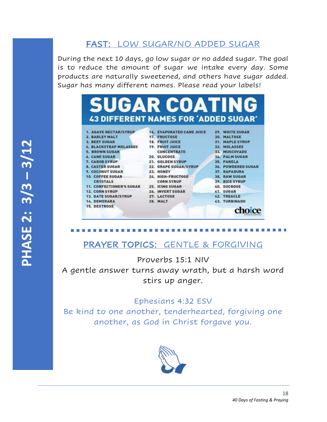# FAST: LOW SUGAR/NO ADDED SUGAR

During the next 10 days, go low sugar or no added sugar. The goal is to reduce the amount of sugar we intake every day. Some products are naturally sweetened, and others have sugar added. Sugar has many different names. Please read your labels!



# PRAYER TOPICS: GENTLE & FORGIVING

Proverbs 15:1 NIV A gentle answer turns away wrath, but a harsh word stirs up anger.

#### Ephesians 4:32 ESV

Be kind to one another, tenderhearted, forgiving one another, as God in Christ forgave you.

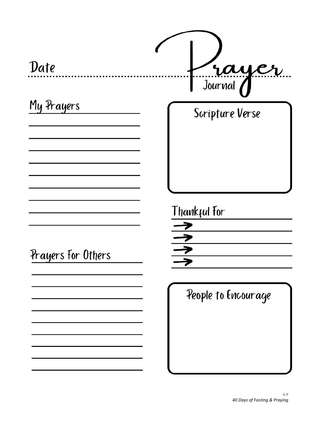| Date               | rayer                         |
|--------------------|-------------------------------|
| My Prayers         | Scripture Verse               |
| Prayers For Others | Thankful For<br>$\frac{1}{2}$ |
|                    | People to Encourage           |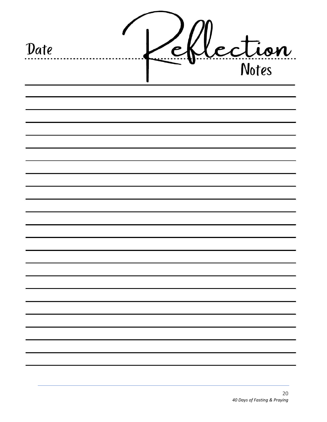| Date |  | lection |
|------|--|---------|
|      |  |         |
|      |  |         |
|      |  |         |
|      |  |         |
|      |  |         |
|      |  |         |
|      |  |         |
|      |  |         |
|      |  |         |
|      |  |         |
|      |  |         |
|      |  |         |
|      |  |         |
|      |  |         |
|      |  |         |
|      |  |         |
|      |  |         |
|      |  |         |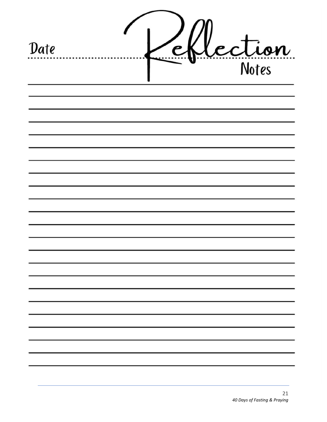| Date |  | lection |
|------|--|---------|
|      |  |         |
|      |  |         |
|      |  |         |
|      |  |         |
|      |  |         |
|      |  |         |
|      |  |         |
|      |  |         |
|      |  |         |
|      |  |         |
|      |  |         |
|      |  |         |
|      |  |         |
|      |  |         |
|      |  |         |
|      |  |         |
|      |  |         |
|      |  |         |
|      |  |         |
|      |  |         |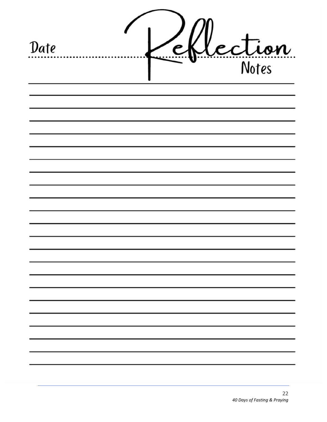| Date | P | Lection |  |
|------|---|---------|--|
|      |   |         |  |
|      |   |         |  |
|      |   |         |  |
|      |   |         |  |
|      |   |         |  |
|      |   |         |  |
|      |   |         |  |
|      |   |         |  |
|      |   |         |  |
|      |   |         |  |
|      |   |         |  |
|      |   |         |  |
|      |   |         |  |
|      |   |         |  |
|      |   |         |  |
|      |   |         |  |
|      |   |         |  |
|      |   |         |  |
|      |   |         |  |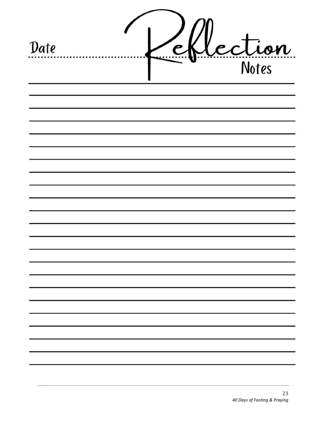| Date |  | lection |
|------|--|---------|
|      |  |         |
|      |  |         |
|      |  |         |
|      |  |         |
|      |  |         |
|      |  |         |
|      |  |         |
|      |  |         |
|      |  |         |
|      |  |         |
|      |  |         |
|      |  |         |
|      |  |         |
|      |  |         |
|      |  |         |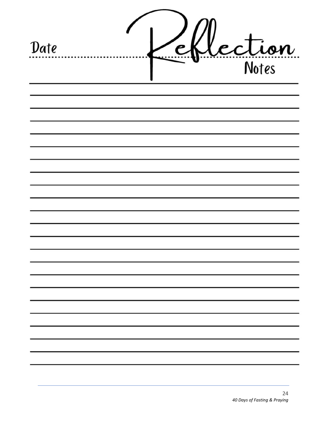| Date |  | Lection |
|------|--|---------|
|      |  |         |
|      |  |         |
|      |  |         |
|      |  |         |
|      |  |         |
|      |  |         |
|      |  |         |
|      |  |         |
|      |  |         |
|      |  |         |
|      |  |         |
|      |  |         |
|      |  |         |
|      |  |         |
|      |  |         |
|      |  |         |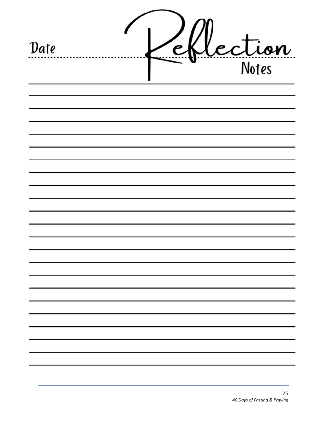| Date |  | Lection |
|------|--|---------|
|      |  |         |
|      |  |         |
|      |  |         |
|      |  |         |
|      |  |         |
|      |  |         |
|      |  |         |
|      |  |         |
|      |  |         |
|      |  |         |
|      |  |         |
|      |  |         |
|      |  |         |
|      |  |         |
|      |  |         |
|      |  |         |
|      |  |         |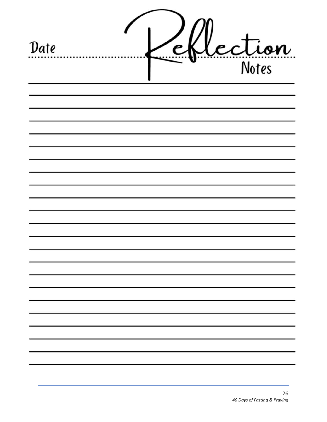| Date |  | lection |
|------|--|---------|
|      |  |         |
|      |  |         |
|      |  |         |
|      |  |         |
|      |  |         |
|      |  |         |
|      |  |         |
|      |  |         |
|      |  |         |
|      |  |         |
|      |  |         |
|      |  |         |
|      |  |         |
|      |  |         |
|      |  |         |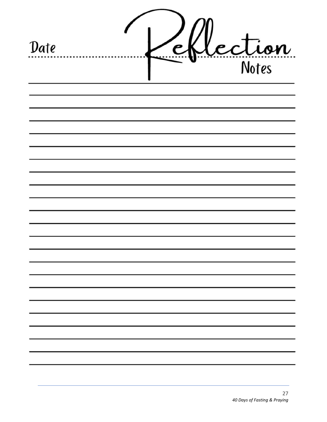| Date |  | lection |
|------|--|---------|
|      |  |         |
|      |  |         |
|      |  |         |
|      |  |         |
|      |  |         |
|      |  |         |
|      |  |         |
|      |  |         |
|      |  |         |
|      |  |         |
|      |  |         |
|      |  |         |
|      |  |         |
|      |  |         |
|      |  |         |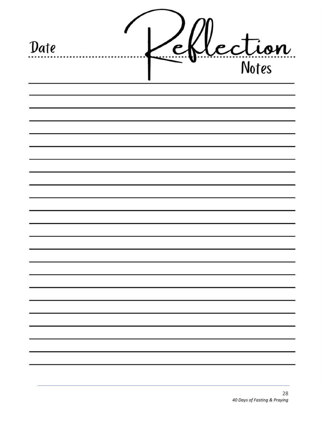| Date |  | lection |
|------|--|---------|
|      |  |         |
|      |  |         |
|      |  |         |
|      |  |         |
|      |  |         |
|      |  |         |
|      |  |         |
|      |  |         |
|      |  |         |
|      |  |         |
|      |  |         |
|      |  |         |
|      |  |         |
|      |  |         |
|      |  |         |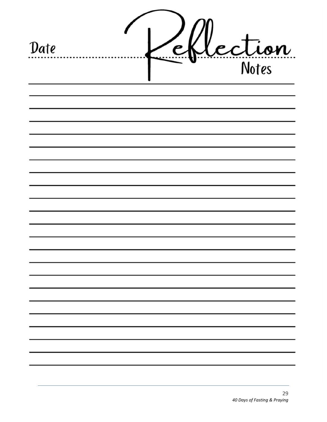| Date |  | Lection |  |
|------|--|---------|--|
|      |  |         |  |
|      |  |         |  |
|      |  |         |  |
|      |  |         |  |
|      |  |         |  |
|      |  |         |  |
|      |  |         |  |
|      |  |         |  |
|      |  |         |  |
|      |  |         |  |
|      |  |         |  |
|      |  |         |  |
|      |  |         |  |
|      |  |         |  |
|      |  |         |  |
|      |  |         |  |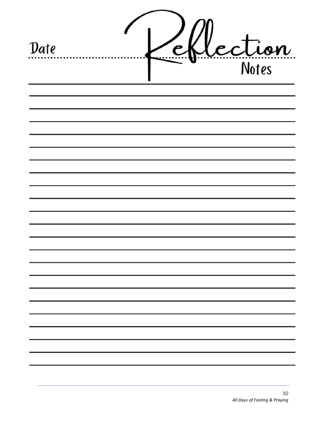| Date | P | lection |
|------|---|---------|
|      |   |         |
|      |   |         |
|      |   |         |
|      |   |         |
|      |   |         |
|      |   |         |
|      |   |         |
|      |   |         |
|      |   |         |
|      |   |         |
|      |   |         |
|      |   |         |
|      |   |         |
|      |   |         |
|      |   |         |
|      |   |         |
|      |   |         |
|      |   |         |
|      |   |         |
|      |   |         |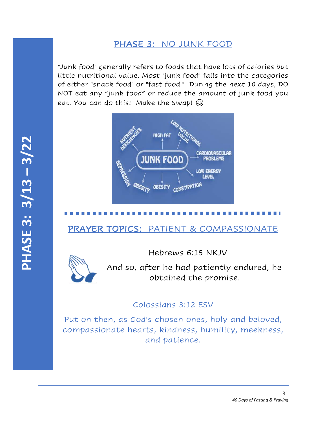# PHASE 3: NO JUNK FOOD

"Junk food" generally refers to foods that have lots of calories but little nutritional value. Most "junk food" falls into the categories of either "snack food" or "fast food." During the next 10 days, DO NOT eat any "junk food" or reduce the amount of junk food you eat. You can do this! Make the Swap!



# PRAYER TOPICS: PATIENT & COMPASSIONATE

Hebrews 6:15 NKJV



And so, after he had patiently endured, he obtained the promise.

### Colossians 3:12 ESV

Put on then, as God's chosen ones, holy and beloved, compassionate hearts, kindness, humility, meekness, and patience.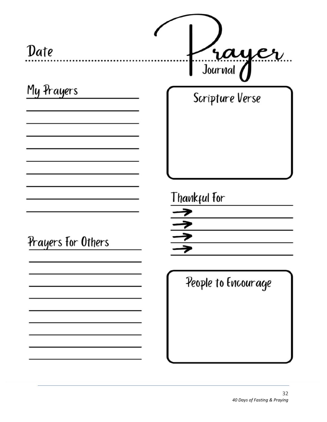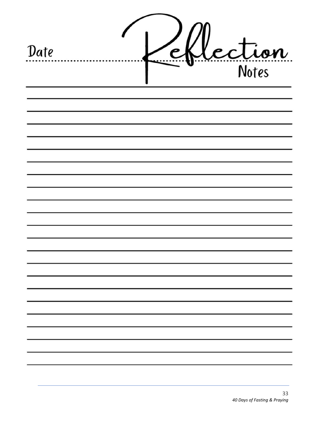| Date |  | Lection |
|------|--|---------|
|      |  |         |
|      |  |         |
|      |  |         |
|      |  |         |
|      |  |         |
|      |  |         |
|      |  |         |
|      |  |         |
|      |  |         |
|      |  |         |
|      |  |         |
|      |  |         |
|      |  |         |
|      |  |         |
|      |  |         |
|      |  |         |
|      |  |         |
|      |  |         |
|      |  |         |
|      |  |         |
|      |  |         |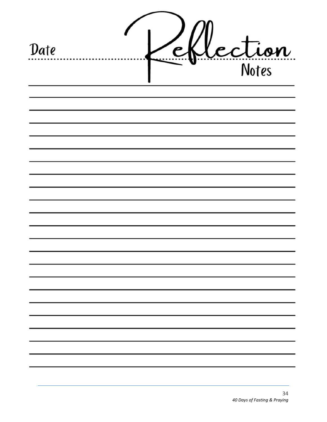| Date |  | ection |
|------|--|--------|
|      |  |        |
|      |  |        |
|      |  |        |
|      |  |        |
|      |  |        |
|      |  |        |
|      |  |        |
|      |  |        |
|      |  |        |
|      |  |        |
|      |  |        |
|      |  |        |
|      |  |        |
|      |  |        |
|      |  |        |
|      |  |        |
|      |  |        |
|      |  |        |
|      |  |        |
|      |  |        |
|      |  |        |
|      |  |        |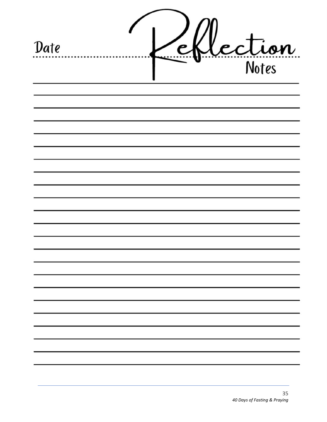| Date |  | lection |
|------|--|---------|
|      |  |         |
|      |  |         |
|      |  |         |
|      |  |         |
|      |  |         |
|      |  |         |
|      |  |         |
|      |  |         |
|      |  |         |
|      |  |         |
|      |  |         |
|      |  |         |
|      |  |         |
|      |  |         |
|      |  |         |
|      |  |         |
|      |  |         |
|      |  |         |
|      |  |         |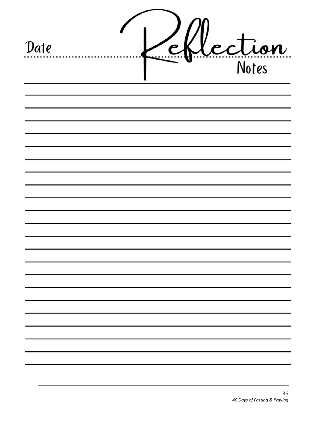| Date |  | Lection |
|------|--|---------|
|      |  |         |
|      |  |         |
|      |  |         |
|      |  |         |
|      |  |         |
|      |  |         |
|      |  |         |
|      |  |         |
|      |  |         |
|      |  |         |
|      |  |         |
|      |  |         |
|      |  |         |
|      |  |         |
|      |  |         |
|      |  |         |
|      |  |         |
|      |  |         |
|      |  |         |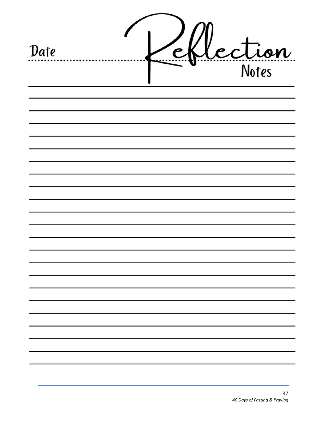| Date |  | Lection |
|------|--|---------|
|      |  |         |
|      |  |         |
|      |  |         |
|      |  |         |
|      |  |         |
|      |  |         |
|      |  |         |
|      |  |         |
|      |  |         |
|      |  |         |
|      |  |         |
|      |  |         |
|      |  |         |
|      |  |         |
|      |  |         |
|      |  |         |
|      |  |         |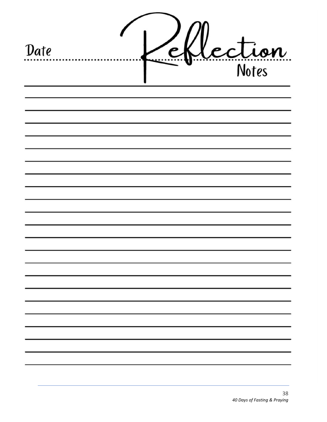| Date |  | lection |
|------|--|---------|
|      |  |         |
|      |  |         |
|      |  |         |
|      |  |         |
|      |  |         |
|      |  |         |
|      |  |         |
|      |  |         |
|      |  |         |
|      |  |         |
|      |  |         |
|      |  |         |
|      |  |         |
|      |  |         |
|      |  |         |
|      |  |         |
|      |  |         |
|      |  |         |
|      |  |         |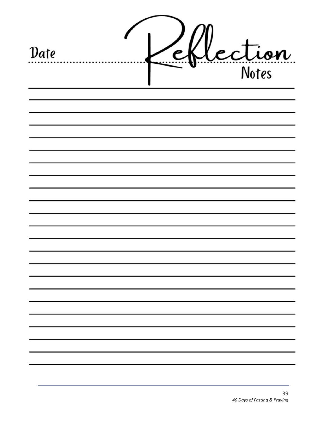| Date |  | lection |
|------|--|---------|
|      |  |         |
|      |  |         |
|      |  |         |
|      |  |         |
|      |  |         |
|      |  |         |
|      |  |         |
|      |  |         |
|      |  |         |
|      |  |         |
|      |  |         |
|      |  |         |
|      |  |         |
|      |  |         |
|      |  |         |
|      |  |         |
|      |  |         |
|      |  |         |
|      |  |         |
|      |  |         |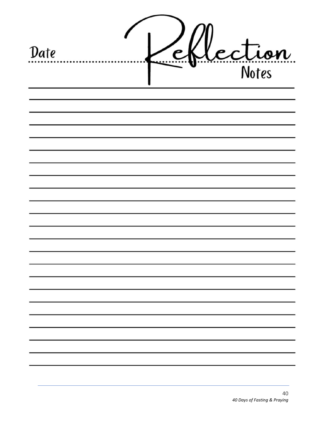| Date |  | lection |
|------|--|---------|
|      |  |         |
|      |  |         |
|      |  |         |
|      |  |         |
|      |  |         |
|      |  |         |
|      |  |         |
|      |  |         |
|      |  |         |
|      |  |         |
|      |  |         |
|      |  |         |
|      |  |         |
|      |  |         |
|      |  |         |
|      |  |         |
|      |  |         |
|      |  |         |
|      |  |         |
|      |  |         |
|      |  |         |
|      |  |         |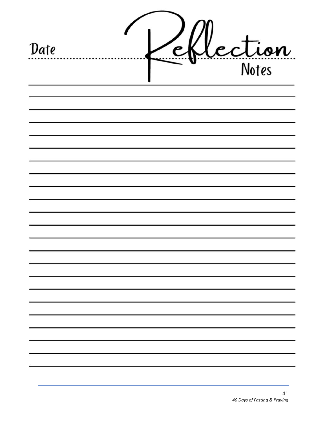| Date |  | Lection |
|------|--|---------|
|      |  |         |
|      |  |         |
|      |  |         |
|      |  |         |
|      |  |         |
|      |  |         |
|      |  |         |
|      |  |         |
|      |  |         |
|      |  |         |
|      |  |         |
|      |  |         |
|      |  |         |
|      |  |         |
|      |  |         |
|      |  |         |
|      |  |         |
|      |  |         |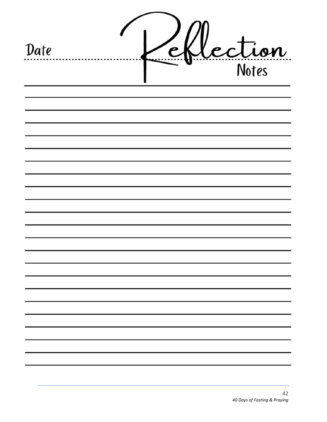| Date |  | lection |
|------|--|---------|
|      |  |         |
|      |  |         |
|      |  |         |
|      |  |         |
|      |  |         |
|      |  |         |
|      |  |         |
|      |  |         |
|      |  |         |
|      |  |         |
|      |  |         |
|      |  |         |
|      |  |         |
|      |  |         |
|      |  |         |
|      |  |         |
|      |  |         |
|      |  |         |
|      |  |         |
|      |  |         |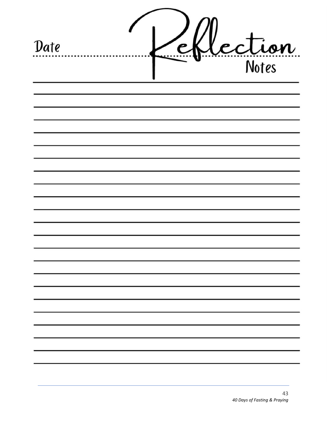| Date | $\epsilon$ | lection |
|------|------------|---------|
|      |            |         |
|      |            |         |
|      |            |         |
|      |            |         |
|      |            |         |
|      |            |         |
|      |            |         |
|      |            |         |
|      |            |         |
|      |            |         |
|      |            |         |
|      |            |         |
|      |            |         |
|      |            |         |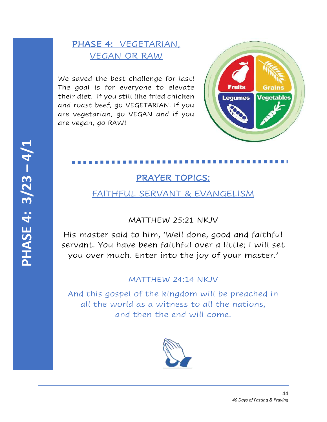# PHASE 4: VEGETARIAN, VEGAN OR RAW

We saved the best challenge for last! The goal is for everyone to elevate their diet. If you still like fried chicken and roast beef, go VEGETARIAN. If you are vegetarian, go VEGAN and if you are vegan, go RAW!



# PRAYER TOPICS:

## FAITHFUL SERVANT & EVANGELISM

## MATTHEW 25:21 NKJV

His master said to him, 'Well done, good and faithful servant. You have been faithful over a little; I will set you over much. Enter into the joy of your master.'

### MATTHEW 24:14 NKJV

And this gospel of the kingdom will be preached in all the world as a witness to all the nations, and then the end will come.

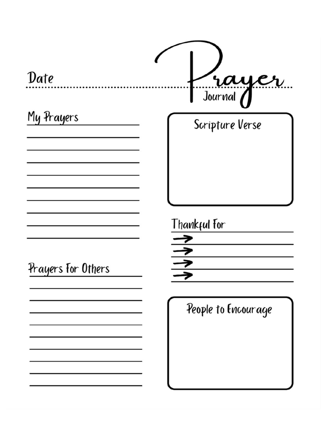| Date               | rayer               |
|--------------------|---------------------|
| My Prayers         | Scripture Verse     |
|                    |                     |
|                    |                     |
|                    |                     |
|                    |                     |
|                    | Thankful For        |
|                    | ルル                  |
| Prayers For Others |                     |
|                    |                     |
|                    | People to Encourage |
|                    |                     |
|                    |                     |
|                    |                     |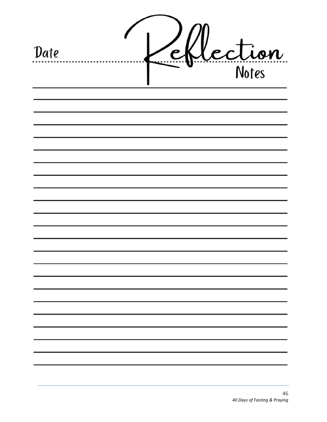| Date |  | Lection |  |
|------|--|---------|--|
|      |  |         |  |
|      |  |         |  |
|      |  |         |  |
|      |  |         |  |
|      |  |         |  |
|      |  |         |  |
|      |  |         |  |
|      |  |         |  |
|      |  |         |  |
|      |  |         |  |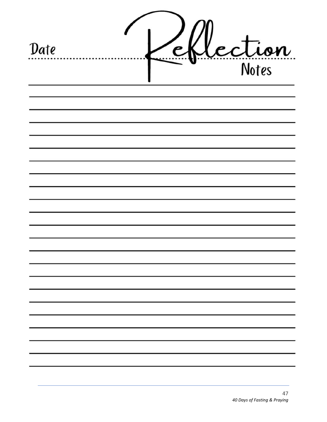| Date |  | Lection |
|------|--|---------|
|      |  |         |
|      |  |         |
|      |  |         |
|      |  |         |
|      |  |         |
|      |  |         |
|      |  |         |
|      |  |         |
|      |  |         |
|      |  |         |
|      |  |         |
|      |  |         |
|      |  |         |
|      |  |         |
|      |  |         |
|      |  |         |
|      |  |         |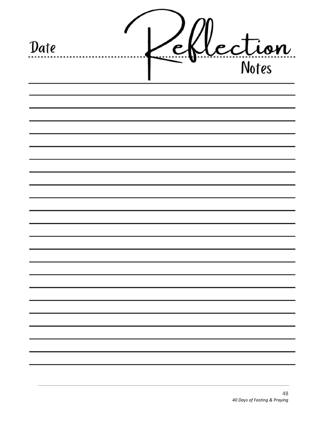| Date |  | lection |  |
|------|--|---------|--|
|      |  |         |  |
|      |  |         |  |
|      |  |         |  |
|      |  |         |  |
|      |  |         |  |
|      |  |         |  |
|      |  |         |  |
|      |  |         |  |
|      |  |         |  |
|      |  |         |  |
|      |  |         |  |
|      |  |         |  |
|      |  |         |  |
|      |  |         |  |
|      |  |         |  |
|      |  |         |  |
|      |  |         |  |
|      |  |         |  |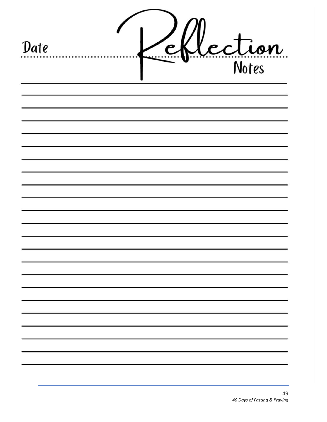| Date | P | Lection |
|------|---|---------|
|      |   |         |
|      |   |         |
|      |   |         |
|      |   |         |
|      |   |         |
|      |   |         |
|      |   |         |
|      |   |         |
|      |   |         |
|      |   |         |
|      |   |         |
|      |   |         |
|      |   |         |
|      |   |         |
|      |   |         |
|      |   |         |
|      |   |         |
|      |   |         |
|      |   |         |
|      |   |         |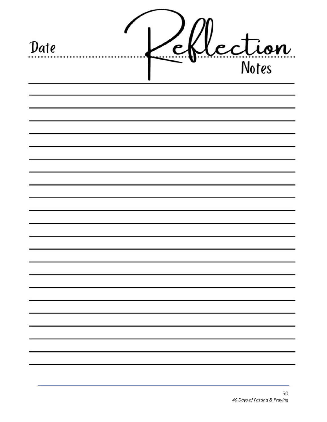| Date |  | lection |
|------|--|---------|
|      |  |         |
|      |  |         |
|      |  |         |
|      |  |         |
|      |  |         |
|      |  |         |
|      |  |         |
|      |  |         |
|      |  |         |
|      |  |         |
|      |  |         |
|      |  |         |
|      |  |         |
|      |  |         |
|      |  |         |
|      |  |         |
|      |  |         |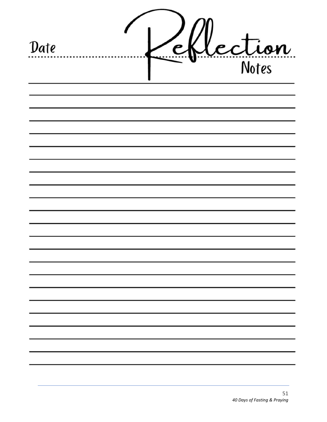| Date |  | lection |  |
|------|--|---------|--|
|      |  |         |  |
|      |  |         |  |
|      |  |         |  |
|      |  |         |  |
|      |  |         |  |
|      |  |         |  |
|      |  |         |  |
|      |  |         |  |
|      |  |         |  |
|      |  |         |  |
|      |  |         |  |
|      |  |         |  |
|      |  |         |  |
|      |  |         |  |
|      |  |         |  |
|      |  |         |  |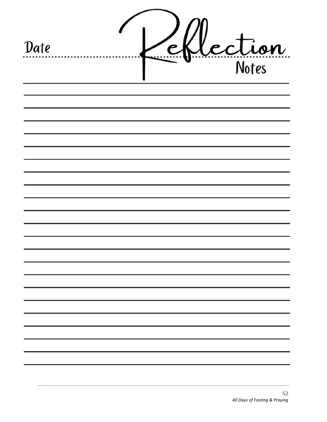| Date |  | Lection |
|------|--|---------|
|      |  |         |
|      |  |         |
|      |  |         |
|      |  |         |
|      |  |         |
|      |  |         |
|      |  |         |
|      |  |         |
|      |  |         |
|      |  |         |
|      |  |         |
|      |  |         |
|      |  |         |
|      |  |         |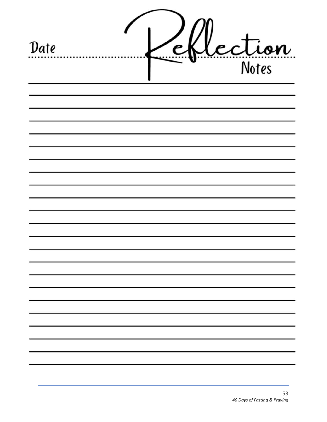| Date |  | lection |  |
|------|--|---------|--|
|      |  |         |  |
|      |  |         |  |
|      |  |         |  |
|      |  |         |  |
|      |  |         |  |
|      |  |         |  |
|      |  |         |  |
|      |  |         |  |
|      |  |         |  |
|      |  |         |  |
|      |  |         |  |
|      |  |         |  |
|      |  |         |  |
|      |  |         |  |
|      |  |         |  |
|      |  |         |  |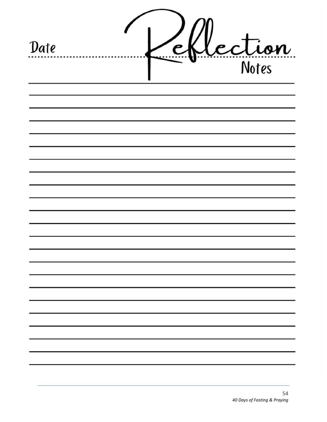| Date |  | lection |  |
|------|--|---------|--|
|      |  |         |  |
|      |  |         |  |
|      |  |         |  |
|      |  |         |  |
|      |  |         |  |
|      |  |         |  |
|      |  |         |  |
|      |  |         |  |
|      |  |         |  |
|      |  |         |  |
|      |  |         |  |
|      |  |         |  |
|      |  |         |  |
|      |  |         |  |
|      |  |         |  |
|      |  |         |  |
|      |  |         |  |
|      |  |         |  |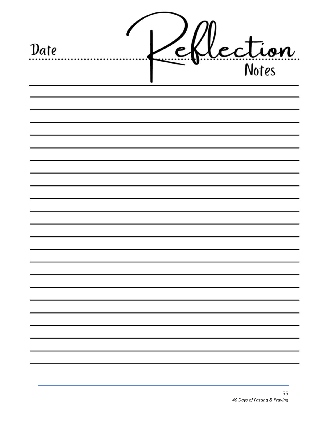| Date |  | Lection |
|------|--|---------|
|      |  |         |
|      |  |         |
|      |  |         |
|      |  |         |
|      |  |         |
|      |  |         |
|      |  |         |
|      |  |         |
|      |  |         |
|      |  |         |
|      |  |         |
|      |  |         |
|      |  |         |
|      |  |         |
|      |  |         |
|      |  |         |
|      |  |         |
|      |  |         |
|      |  |         |
|      |  |         |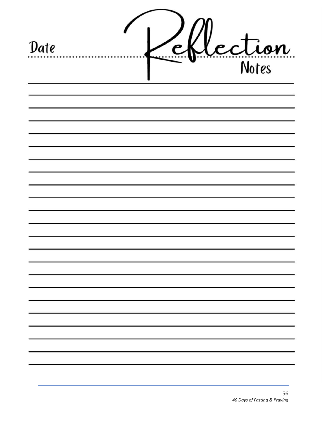| Date |  | Lection |
|------|--|---------|
|      |  |         |
|      |  |         |
|      |  |         |
|      |  |         |
|      |  |         |
|      |  |         |
|      |  |         |
|      |  |         |
|      |  |         |
|      |  |         |
|      |  |         |
|      |  |         |
|      |  |         |
|      |  |         |
|      |  |         |
|      |  |         |
|      |  |         |